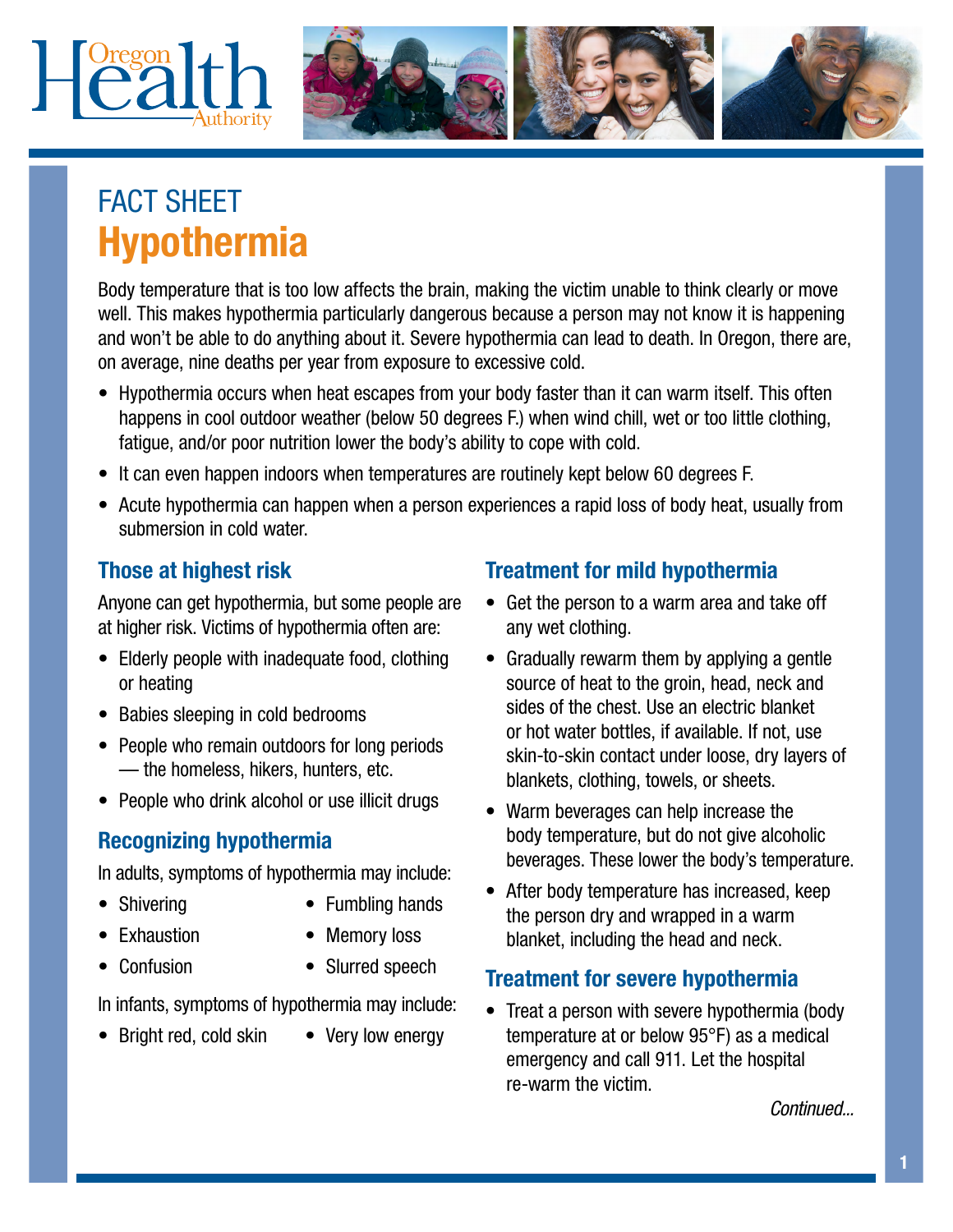



# FACT SHEET Hypothermia

Body temperature that is too low affects the brain, making the victim unable to think clearly or move well. This makes hypothermia particularly dangerous because a person may not know it is happening and won't be able to do anything about it. Severe hypothermia can lead to death. In Oregon, there are, on average, nine deaths per year from exposure to excessive cold.

- Hypothermia occurs when heat escapes from your body faster than it can warm itself. This often happens in cool outdoor weather (below 50 degrees F.) when wind chill, wet or too little clothing, fatigue, and/or poor nutrition lower the body's ability to cope with cold.
- It can even happen indoors when temperatures are routinely kept below 60 degrees F.
- Acute hypothermia can happen when a person experiences a rapid loss of body heat, usually from submersion in cold water.

## Those at highest risk

Anyone can get hypothermia, but some people are at higher risk. Victims of hypothermia often are:

- Elderly people with inadequate food, clothing or heating
- Babies sleeping in cold bedrooms
- People who remain outdoors for long periods — the homeless, hikers, hunters, etc.
- People who drink alcohol or use illicit drugs

## Recognizing hypothermia

In adults, symptoms of hypothermia may include:

- Shivering
- Fumbling hands
- **Exhaustion**
- Memory loss
- Confusion
- Slurred speech

In infants, symptoms of hypothermia may include:

- Bright red, cold skin
- Very low energy

## Treatment for mild hypothermia

- Get the person to a warm area and take off any wet clothing.
- Gradually rewarm them by applying a gentle source of heat to the groin, head, neck and sides of the chest. Use an electric blanket or hot water bottles, if available. If not, use skin-to-skin contact under loose, dry layers of blankets, clothing, towels, or sheets.
- Warm beverages can help increase the body temperature, but do not give alcoholic beverages. These lower the body's temperature.
- After body temperature has increased, keep the person dry and wrapped in a warm blanket, including the head and neck.

#### Treatment for severe hypothermia

• Treat a person with severe hypothermia (body temperature at or below 95°F) as a medical emergency and call 911. Let the hospital re-warm the victim.

*Continued...*